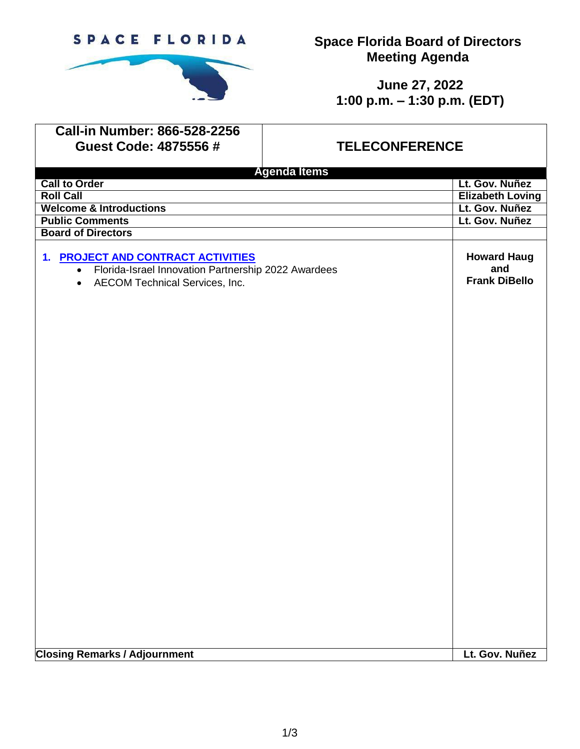

**Space Florida Board of Directors Meeting Agenda**

> **June 27, 2022 1:00 p.m. – 1:30 p.m. (EDT)**

| <b>Call-in Number: 866-528-2256</b>                                                                                                                   |                       |                                                   |
|-------------------------------------------------------------------------------------------------------------------------------------------------------|-----------------------|---------------------------------------------------|
| Guest Code: 4875556#                                                                                                                                  | <b>TELECONFERENCE</b> |                                                   |
| <b>Agenda Items</b>                                                                                                                                   |                       |                                                   |
| <b>Call to Order</b>                                                                                                                                  |                       | Lt. Gov. Nuñez                                    |
| <b>Roll Call</b>                                                                                                                                      |                       | <b>Elizabeth Loving</b>                           |
| <b>Welcome &amp; Introductions</b>                                                                                                                    |                       | Lt. Gov. Nuñez                                    |
| <b>Public Comments</b>                                                                                                                                |                       | Lt. Gov. Nuñez                                    |
| <b>Board of Directors</b>                                                                                                                             |                       |                                                   |
| 1. PROJECT AND CONTRACT ACTIVITIES<br>Florida-Israel Innovation Partnership 2022 Awardees<br>$\bullet$<br>AECOM Technical Services, Inc.<br>$\bullet$ |                       | <b>Howard Haug</b><br>and<br><b>Frank DiBello</b> |
|                                                                                                                                                       |                       |                                                   |
|                                                                                                                                                       |                       |                                                   |
|                                                                                                                                                       |                       |                                                   |
| <b>Closing Remarks / Adjournment</b>                                                                                                                  |                       | Lt. Gov. Nuñez                                    |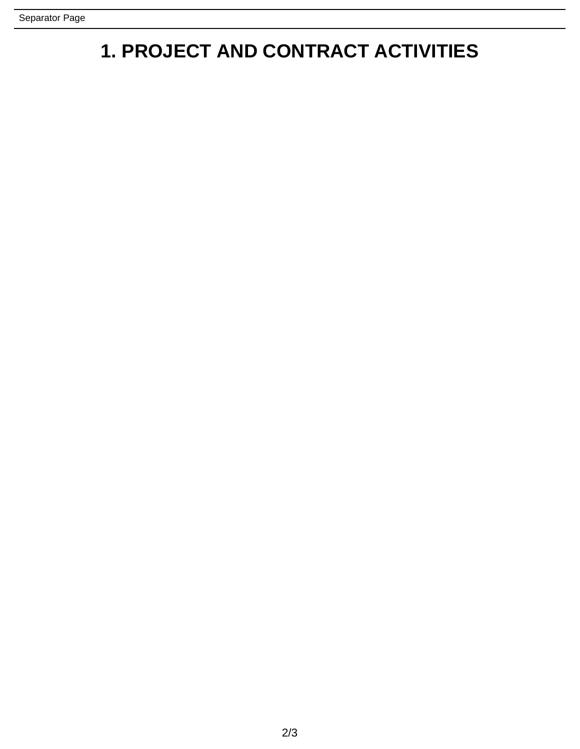## **1. PROJECT AND CONTRACT ACTIVITIES**